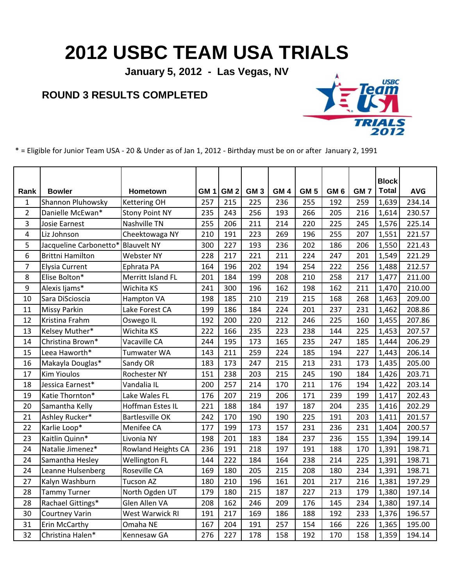## **2012 USBC TEAM USA TRIALS**

**January 5, 2012 - Las Vegas, NV**

## **ROUND 3 RESULTS COMPLETED**



\* = Eligible for Junior Team USA - 20 & Under as of Jan 1, 2012 - Birthday must be on or after January 2, 1991

| Rank           | <b>Bowler</b>           | Hometown               | GM <sub>1</sub> | GM <sub>2</sub> | GM <sub>3</sub> | GM <sub>4</sub> | GM <sub>5</sub> | GM <sub>6</sub> | GM <sub>7</sub> | <b>Block</b><br><b>Total</b> | <b>AVG</b> |
|----------------|-------------------------|------------------------|-----------------|-----------------|-----------------|-----------------|-----------------|-----------------|-----------------|------------------------------|------------|
| 1              | Shannon Pluhowsky       | <b>Kettering OH</b>    | 257             | 215             | 225             | 236             | 255             | 192             | 259             | 1,639                        | 234.14     |
| $\overline{2}$ | Danielle McEwan*        | <b>Stony Point NY</b>  | 235             | 243             | 256             | 193             | 266             | 205             | 216             | 1,614                        | 230.57     |
| 3              | Josie Earnest           | Nashville TN           | 255             | 206             | 211             | 214             | 220             | 225             | 245             | 1,576                        | 225.14     |
| 4              | Liz Johnson             | Cheektowaga NY         | 210             | 191             | 223             | 269             | 196             | 255             | 207             | 1,551                        | 221.57     |
| 5              | Jacqueline Carbonetto*  | <b>Blauvelt NY</b>     | 300             | 227             | 193             | 236             | 202             | 186             | 206             | 1,550                        | 221.43     |
| 6              | <b>Brittni Hamilton</b> | Webster NY             | 228             | 217             | 221             | 211             | 224             | 247             | 201             | 1,549                        | 221.29     |
| $\overline{7}$ | Elysia Current          | Ephrata PA             | 164             | 196             | 202             | 194             | 254             | 222             | 256             | 1,488                        | 212.57     |
| 8              | Elise Bolton*           | Merritt Island FL      | 201             | 184             | 199             | 208             | 210             | 258             | 217             | 1,477                        | 211.00     |
| 9              | Alexis Ijams*           | Wichita KS             | 241             | 300             | 196             | 162             | 198             | 162             | 211             | 1,470                        | 210.00     |
| 10             | Sara DiScioscia         | <b>Hampton VA</b>      | 198             | 185             | 210             | 219             | 215             | 168             | 268             | 1,463                        | 209.00     |
| 11             | <b>Missy Parkin</b>     | Lake Forest CA         | 199             | 186             | 184             | 224             | 201             | 237             | 231             | 1,462                        | 208.86     |
| 12             | Kristina Frahm          | Oswego IL              | 192             | 200             | 220             | 212             | 246             | 225             | 160             | 1,455                        | 207.86     |
| 13             | Kelsey Muther*          | Wichita KS             | 222             | 166             | 235             | 223             | 238             | 144             | 225             | 1,453                        | 207.57     |
| 14             | Christina Brown*        | Vacaville CA           | 244             | 195             | 173             | 165             | 235             | 247             | 185             | 1,444                        | 206.29     |
| 15             | Leea Haworth*           | Tumwater WA            | 143             | 211             | 259             | 224             | 185             | 194             | 227             | 1,443                        | 206.14     |
| 16             | Makayla Douglas*        | Sandy OR               | 183             | 173             | 247             | 215             | 213             | 231             | 173             | 1,435                        | 205.00     |
| 17             | <b>Kim Yioulos</b>      | Rochester NY           | 151             | 238             | 203             | 215             | 245             | 190             | 184             | 1,426                        | 203.71     |
| 18             | Jessica Earnest*        | Vandalia IL            | 200             | 257             | 214             | 170             | 211             | 176             | 194             | 1,422                        | 203.14     |
| 19             | Katie Thornton*         | Lake Wales FL          | 176             | 207             | 219             | 206             | 171             | 239             | 199             | 1,417                        | 202.43     |
| 20             | Samantha Kelly          | Hoffman Estes IL       | 221             | 188             | 184             | 197             | 187             | 204             | 235             | 1,416                        | 202.29     |
| 21             | Ashley Rucker*          | <b>Bartlesville OK</b> | 242             | 170             | 190             | 190             | 225             | 191             | 203             | 1,411                        | 201.57     |
| 22             | Karlie Loop*            | Menifee CA             | 177             | 199             | 173             | 157             | 231             | 236             | 231             | 1,404                        | 200.57     |
| 23             | Kaitlin Quinn*          | Livonia NY             | 198             | 201             | 183             | 184             | 237             | 236             | 155             | 1,394                        | 199.14     |
| 24             | Natalie Jimenez*        | Rowland Heights CA     | 236             | 191             | 218             | 197             | 191             | 188             | 170             | 1,391                        | 198.71     |
| 24             | Samantha Hesley         | <b>Wellington FL</b>   | 144             | 222             | 184             | 164             | 238             | 214             | 225             | 1,391                        | 198.71     |
| 24             | Leanne Hulsenberg       | Roseville CA           | 169             | 180             | 205             | 215             | 208             | 180             | 234             | 1,391                        | 198.71     |
| 27             | Kalyn Washburn          | <b>Tucson AZ</b>       | 180             | 210             | 196             | 161             | 201             | 217             | 216             | 1,381                        | 197.29     |
| 28             | <b>Tammy Turner</b>     | North Ogden UT         | 179             | 180             | 215             | 187             | 227             | 213             | 179             | 1,380                        | 197.14     |
| 28             | Rachael Gittings*       | Glen Allen VA          | 208             | 162             | 246             | 209             | 176             | 145             | 234             | 1,380                        | 197.14     |
| 30             | <b>Courtney Varin</b>   | West Warwick RI        | 191             | 217             | 169             | 186             | 188             | 192             | 233             | 1,376                        | 196.57     |
| 31             | Erin McCarthy           | Omaha NE               | 167             | 204             | 191             | 257             | 154             | 166             | 226             | 1,365                        | 195.00     |
| 32             | Christina Halen*        | Kennesaw GA            | 276             | 227             | 178             | 158             | 192             | 170             | 158             | 1,359                        | 194.14     |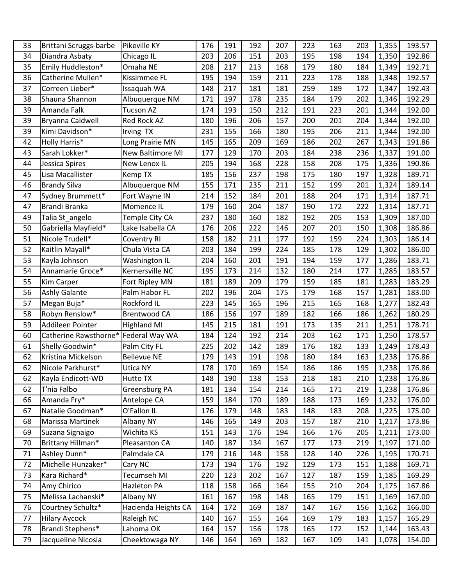| 33 | Brittani Scruggs-barbe | Pikeville KY        | 176 | 191 | 192 | 207 | 223 | 163 | 203 | 1,355 | 193.57 |
|----|------------------------|---------------------|-----|-----|-----|-----|-----|-----|-----|-------|--------|
| 34 | Diandra Asbaty         | Chicago IL          | 203 | 206 | 151 | 203 | 195 | 198 | 194 | 1,350 | 192.86 |
| 35 | Emily Huddleston*      | Omaha NE            | 208 | 217 | 213 | 168 | 179 | 180 | 184 | 1,349 | 192.71 |
| 36 | Catherine Mullen*      | Kissimmee FL        | 195 | 194 | 159 | 211 | 223 | 178 | 188 | 1,348 | 192.57 |
| 37 | Correen Lieber*        | Issaquah WA         | 148 | 217 | 181 | 181 | 259 | 189 | 172 | 1,347 | 192.43 |
| 38 | Shauna Shannon         | Albuquerque NM      | 171 | 197 | 178 | 235 | 184 | 179 | 202 | 1,346 | 192.29 |
| 39 | Amanda Falk            | <b>Tucson AZ</b>    | 174 | 193 | 150 | 212 | 191 | 223 | 201 | 1,344 | 192.00 |
| 39 | Bryanna Caldwell       | Red Rock AZ         | 180 | 196 | 206 | 157 | 200 | 201 | 204 | 1,344 | 192.00 |
| 39 | Kimi Davidson*         | Irving TX           | 231 | 155 | 166 | 180 | 195 | 206 | 211 | 1,344 | 192.00 |
| 42 | Holly Harris*          | Long Prairie MN     | 145 | 165 | 209 | 169 | 186 | 202 | 267 | 1,343 | 191.86 |
| 43 | Sarah Lokker*          | New Baltimore MI    | 177 | 129 | 170 | 203 | 184 | 238 | 236 | 1,337 | 191.00 |
| 44 | Jessica Spires         | New Lenox IL        | 205 | 194 | 168 | 228 | 158 | 208 | 175 | 1,336 | 190.86 |
| 45 | Lisa Macallister       | Kemp TX             | 185 | 156 | 237 | 198 | 175 | 180 | 197 | 1,328 | 189.71 |
| 46 | <b>Brandy Silva</b>    | Albuquerque NM      | 155 | 171 | 235 | 211 | 152 | 199 | 201 | 1,324 | 189.14 |
| 47 | Sydney Brummett*       | Fort Wayne IN       | 214 | 152 | 184 | 201 | 188 | 204 | 171 | 1,314 | 187.71 |
| 47 | Brandi Branka          | Momence IL          | 179 | 160 | 204 | 187 | 190 | 172 | 222 | 1,314 | 187.71 |
| 49 | Talia St_angelo        | Temple City CA      | 237 | 180 | 160 | 182 | 192 | 205 | 153 | 1,309 | 187.00 |
| 50 | Gabriella Mayfield*    | Lake Isabella CA    | 176 | 206 | 222 | 146 | 207 | 201 | 150 | 1,308 | 186.86 |
| 51 | Nicole Trudell*        | <b>Coventry RI</b>  | 158 | 182 | 211 | 177 | 192 | 159 | 224 | 1,303 | 186.14 |
| 52 | Kaitlin Mayall*        | Chula Vista CA      | 203 | 184 | 199 | 224 | 185 | 178 | 129 | 1,302 | 186.00 |
| 53 | Kayla Johnson          | Washington IL       | 204 | 160 | 201 | 191 | 194 | 159 | 177 | 1,286 | 183.71 |
| 54 | Annamarie Groce*       | Kernersville NC     | 195 | 173 | 214 | 132 | 180 | 214 | 177 | 1,285 | 183.57 |
| 55 | <b>Kim Carper</b>      | Fort Ripley MN      | 181 | 189 | 209 | 179 | 159 | 185 | 181 | 1,283 | 183.29 |
| 56 | <b>Ashly Galante</b>   | Palm Habor FL       | 202 | 196 | 204 | 175 | 179 | 168 | 157 | 1,281 | 183.00 |
| 57 | Megan Buja*            | Rockford IL         | 223 | 145 | 165 | 196 | 215 | 165 | 168 | 1,277 | 182.43 |
| 58 | Robyn Renslow*         | <b>Brentwood CA</b> | 186 | 156 | 197 | 189 | 182 | 166 | 186 | 1,262 | 180.29 |
| 59 | Addileen Pointer       | <b>Highland MI</b>  | 145 | 215 | 181 | 191 | 173 | 135 | 211 | 1,251 | 178.71 |
| 60 | Catherine Rawsthorne*  | Federal Way WA      | 184 | 124 | 192 | 214 | 203 | 162 | 171 | 1,250 | 178.57 |
| 61 | Shelly Goodwin*        | Palm City FL        | 225 | 202 | 142 | 189 | 176 | 182 | 133 | 1,249 | 178.43 |
| 62 | Kristina Mickelson     | <b>Bellevue NE</b>  | 179 | 143 | 191 | 198 | 180 | 184 | 163 | 1,238 | 176.86 |
| 62 | Nicole Parkhurst*      | Utica NY            | 178 | 170 | 169 | 154 | 186 | 186 | 195 | 1,238 | 176.86 |
| 62 | Kayla Endicott-WD      | <b>Hutto TX</b>     | 148 | 190 | 138 | 153 | 218 | 181 | 210 | 1,238 | 176.86 |
| 62 | T'nia Falbo            | Greensburg PA       | 181 | 134 | 154 | 214 | 165 | 171 | 219 | 1,238 | 176.86 |
| 66 | Amanda Fry*            | Antelope CA         | 159 | 184 | 170 | 189 | 188 | 173 | 169 | 1,232 | 176.00 |
| 67 | Natalie Goodman*       | O'Fallon IL         | 176 | 179 | 148 | 183 | 148 | 183 | 208 | 1,225 | 175.00 |
| 68 | Marissa Martinek       | Albany NY           | 146 | 165 | 149 | 203 | 157 | 187 | 210 | 1,217 | 173.86 |
| 69 | Suzana Signaigo        | Wichita KS          | 151 | 143 | 176 | 194 | 166 | 176 | 205 | 1,211 | 173.00 |
| 70 | Brittany Hillman*      | Pleasanton CA       | 140 | 187 | 134 | 167 | 177 | 173 | 219 | 1,197 | 171.00 |
| 71 | Ashley Dunn*           | Palmdale CA         | 179 | 216 | 148 | 158 | 128 | 140 | 226 | 1,195 | 170.71 |
| 72 | Michelle Hunzaker*     | Cary NC             | 173 | 194 | 176 | 192 | 129 | 173 | 151 | 1,188 | 169.71 |
| 73 | Kara Richard*          | Tecumseh MI         | 220 | 123 | 202 | 167 | 127 | 187 | 159 | 1,185 | 169.29 |
| 74 | Amy Chirico            | Hazleton PA         | 118 | 158 | 166 | 164 | 155 | 210 | 204 | 1,175 | 167.86 |
| 75 | Melissa Lachanski*     | Albany NY           | 161 | 167 | 198 | 148 | 165 | 179 | 151 | 1,169 | 167.00 |
| 76 | Courtney Schultz*      | Hacienda Heights CA | 164 | 172 | 169 | 187 | 147 | 167 | 156 | 1,162 | 166.00 |
| 77 | <b>Hilary Aycock</b>   | Raleigh NC          | 140 | 167 | 155 | 164 | 169 | 179 | 183 | 1,157 | 165.29 |
| 78 | Brandi Stephens*       | Lahoma OK           | 164 | 157 | 156 | 178 | 165 | 172 | 152 | 1,144 | 163.43 |
| 79 | Jacqueline Nicosia     | Cheektowaga NY      | 146 | 164 | 169 | 182 | 167 | 109 | 141 | 1,078 | 154.00 |